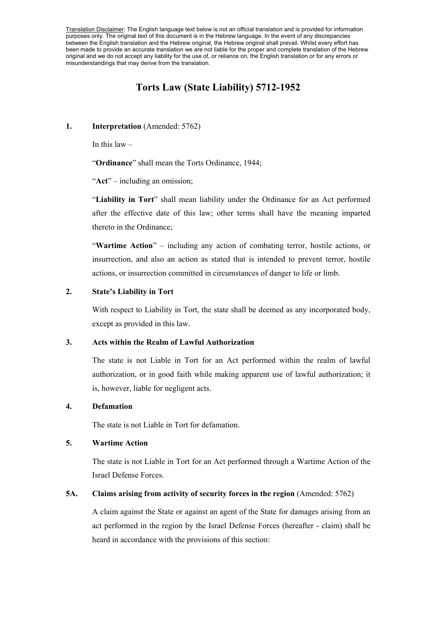Translation Disclaimer: The English language text below is not an official translation and is provided for information purposes only. The original text of this document is in the Hebrew language. In the event of any discrepancies between the English translation and the Hebrew original, the Hebrew original shall prevail. Whilst every effort has been made to provide an accurate translation we are not liable for the proper and complete translation of the Hebrew original and we do not accept any liability for the use of, or reliance on, the English translation or for any errors or misunderstandings that may derive from the translation.

# **Torts Law (State Liability) 5712-1952**

#### **1. Interpretation** (Amended: 5762)

In this law  $-$ 

"**Ordinance**" shall mean the Torts Ordinance, 1944;

"**Act**" – including an omission;

"**Liability in Tort**" shall mean liability under the Ordinance for an Act performed after the effective date of this law; other terms shall have the meaning imparted thereto in the Ordinance;

"**Wartime Action**" – including any action of combating terror, hostile actions, or insurrection, and also an action as stated that is intended to prevent terror, hostile actions, or insurrection committed in circumstances of danger to life or limb.

#### **2. State's Liability in Tort**

With respect to Liability in Tort, the state shall be deemed as any incorporated body, except as provided in this law.

### **3. Acts within the Realm of Lawful Authorization**

 The state is not Liable in Tort for an Act performed within the realm of lawful authorization, or in good faith while making apparent use of lawful authorization; it is, however, liable for negligent acts.

### **4. Defamation**

The state is not Liable in Tort for defamation.

#### **5. Wartime Action**

 The state is not Liable in Tort for an Act performed through a Wartime Action of the Israel Defense Forces.

### **5A. Claims arising from activity of security forces in the region** (Amended: 5762)

A claim against the State or against an agent of the State for damages arising from an act performed in the region by the Israel Defense Forces (hereafter - claim) shall be heard in accordance with the provisions of this section: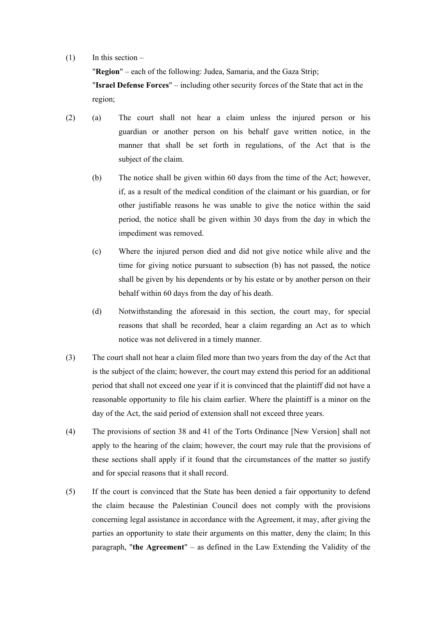#### $(1)$  In this section –

"**Region**" – each of the following: Judea, Samaria, and the Gaza Strip; "**Israel Defense Forces**" – including other security forces of the State that act in the region;

- (2) (a) The court shall not hear a claim unless the injured person or his guardian or another person on his behalf gave written notice, in the manner that shall be set forth in regulations, of the Act that is the subject of the claim.
	- (b) The notice shall be given within 60 days from the time of the Act; however, if, as a result of the medical condition of the claimant or his guardian, or for other justifiable reasons he was unable to give the notice within the said period, the notice shall be given within 30 days from the day in which the impediment was removed.
	- (c) Where the injured person died and did not give notice while alive and the time for giving notice pursuant to subsection (b) has not passed, the notice shall be given by his dependents or by his estate or by another person on their behalf within 60 days from the day of his death.
	- (d) Notwithstanding the aforesaid in this section, the court may, for special reasons that shall be recorded, hear a claim regarding an Act as to which notice was not delivered in a timely manner.
- (3) The court shall not hear a claim filed more than two years from the day of the Act that is the subject of the claim; however, the court may extend this period for an additional period that shall not exceed one year if it is convinced that the plaintiff did not have a reasonable opportunity to file his claim earlier. Where the plaintiff is a minor on the day of the Act, the said period of extension shall not exceed three years.
- (4) The provisions of section 38 and 41 of the Torts Ordinance [New Version] shall not apply to the hearing of the claim; however, the court may rule that the provisions of these sections shall apply if it found that the circumstances of the matter so justify and for special reasons that it shall record.
- (5) If the court is convinced that the State has been denied a fair opportunity to defend the claim because the Palestinian Council does not comply with the provisions concerning legal assistance in accordance with the Agreement, it may, after giving the parties an opportunity to state their arguments on this matter, deny the claim; In this paragraph, "**the Agreement**" – as defined in the Law Extending the Validity of the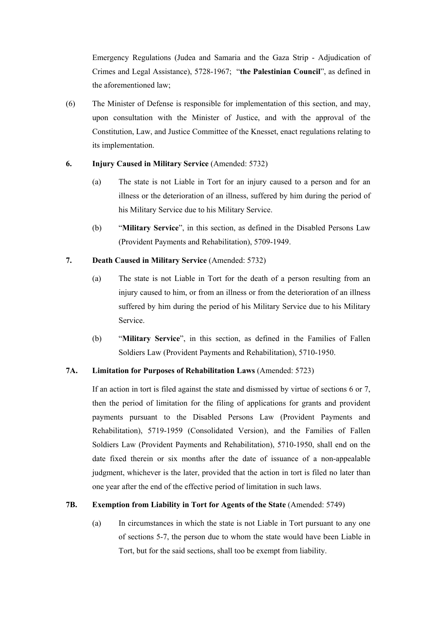Emergency Regulations (Judea and Samaria and the Gaza Strip - Adjudication of Crimes and Legal Assistance), 5728-1967; "**the Palestinian Council**", as defined in the aforementioned law;

(6) The Minister of Defense is responsible for implementation of this section, and may, upon consultation with the Minister of Justice, and with the approval of the Constitution, Law, and Justice Committee of the Knesset, enact regulations relating to its implementation.

#### **6. Injury Caused in Military Service** (Amended: 5732)

- (a) The state is not Liable in Tort for an injury caused to a person and for an illness or the deterioration of an illness, suffered by him during the period of his Military Service due to his Military Service.
- (b) "**Military Service**", in this section, as defined in the Disabled Persons Law (Provident Payments and Rehabilitation), 5709-1949.

### **7. Death Caused in Military Service** (Amended: 5732)

- (a) The state is not Liable in Tort for the death of a person resulting from an injury caused to him, or from an illness or from the deterioration of an illness suffered by him during the period of his Military Service due to his Military Service.
- (b) "**Military Service**", in this section, as defined in the Families of Fallen Soldiers Law (Provident Payments and Rehabilitation), 5710-1950.

### **7A. Limitation for Purposes of Rehabilitation Laws** (Amended: 5723)

 If an action in tort is filed against the state and dismissed by virtue of sections 6 or 7, then the period of limitation for the filing of applications for grants and provident payments pursuant to the Disabled Persons Law (Provident Payments and Rehabilitation), 5719-1959 (Consolidated Version), and the Families of Fallen Soldiers Law (Provident Payments and Rehabilitation), 5710-1950, shall end on the date fixed therein or six months after the date of issuance of a non-appealable judgment, whichever is the later, provided that the action in tort is filed no later than one year after the end of the effective period of limitation in such laws.

### **7B. Exemption from Liability in Tort for Agents of the State** (Amended: 5749)

(a) In circumstances in which the state is not Liable in Tort pursuant to any one of sections 5-7, the person due to whom the state would have been Liable in Tort, but for the said sections, shall too be exempt from liability.